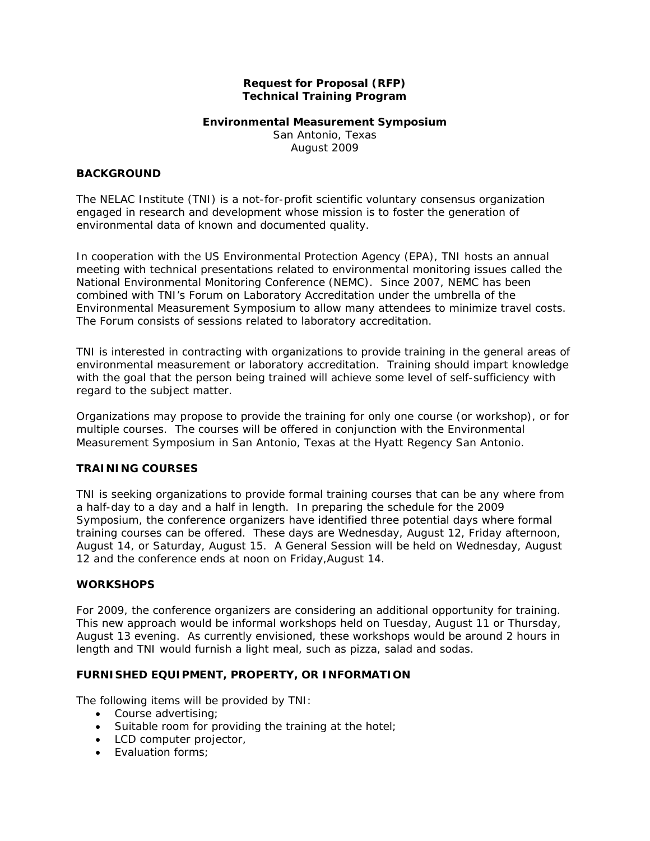## **Request for Proposal (RFP) Technical Training Program**

# **Environmental Measurement Symposium**

San Antonio, Texas August 2009

#### **BACKGROUND**

The NELAC Institute (TNI) is a not-for-profit scientific voluntary consensus organization engaged in research and development whose mission is to foster the generation of environmental data of known and documented quality.

In cooperation with the US Environmental Protection Agency (EPA), TNI hosts an annual meeting with technical presentations related to environmental monitoring issues called the National Environmental Monitoring Conference (NEMC). Since 2007, NEMC has been combined with TNI's Forum on Laboratory Accreditation under the umbrella of the Environmental Measurement Symposium to allow many attendees to minimize travel costs. The Forum consists of sessions related to laboratory accreditation.

TNI is interested in contracting with organizations to provide training in the general areas of environmental measurement or laboratory accreditation. Training should impart knowledge with the goal that the person being trained will achieve some level of self-sufficiency with regard to the subject matter.

Organizations may propose to provide the training for only one course (or workshop), or for multiple courses. The courses will be offered in conjunction with the Environmental Measurement Symposium in San Antonio, Texas at the Hyatt Regency San Antonio.

### **TRAINING COURSES**

TNI is seeking organizations to provide formal training courses that can be any where from a half-day to a day and a half in length. In preparing the schedule for the 2009 Symposium, the conference organizers have identified three potential days where formal training courses can be offered. These days are Wednesday, August 12, Friday afternoon, August 14, or Saturday, August 15. A General Session will be held on Wednesday, August 12 and the conference ends at noon on Friday,August 14.

### **WORKSHOPS**

For 2009, the conference organizers are considering an additional opportunity for training. This new approach would be informal workshops held on Tuesday, August 11 or Thursday, August 13 evening. As currently envisioned, these workshops would be around 2 hours in length and TNI would furnish a light meal, such as pizza, salad and sodas.

### **FURNISHED EQUIPMENT, PROPERTY, OR INFORMATION**

The following items will be provided by TNI:

- Course advertising;
- Suitable room for providing the training at the hotel;
- LCD computer projector,
- **Evaluation forms**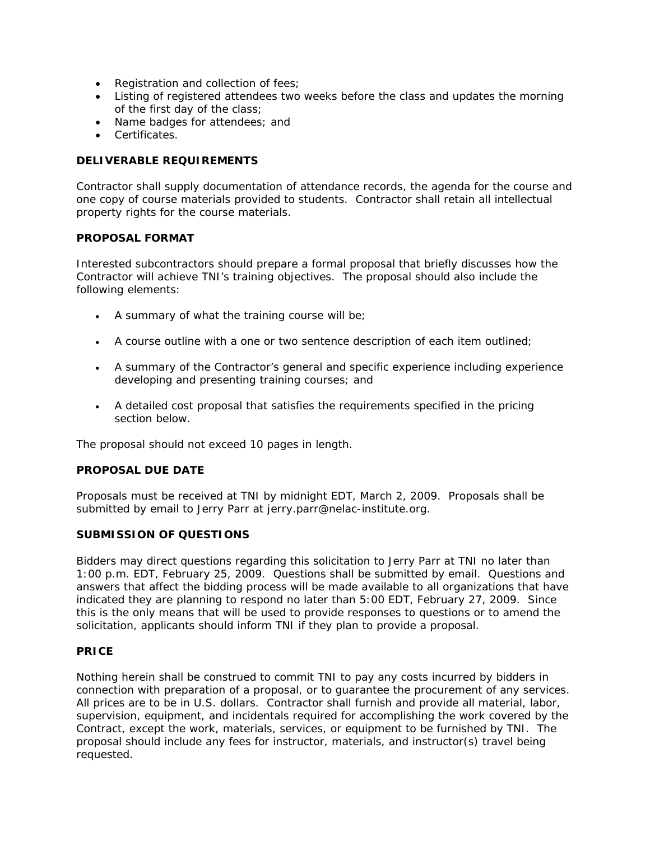- Registration and collection of fees;
- Listing of registered attendees two weeks before the class and updates the morning of the first day of the class;
- Name badges for attendees; and
- Certificates.

# **DELIVERABLE REQUIREMENTS**

Contractor shall supply documentation of attendance records, the agenda for the course and one copy of course materials provided to students. Contractor shall retain all intellectual property rights for the course materials.

### **PROPOSAL FORMAT**

Interested subcontractors should prepare a formal proposal that briefly discusses how the Contractor will achieve TNI's training objectives. The proposal should also include the following elements:

- A summary of what the training course will be;
- A course outline with a one or two sentence description of each item outlined;
- A summary of the Contractor's general and specific experience including experience developing and presenting training courses; and
- A detailed cost proposal that satisfies the requirements specified in the pricing section below.

The proposal should not exceed 10 pages in length.

### **PROPOSAL DUE DATE**

Proposals must be received at TNI by midnight EDT, March 2, 2009. Proposals shall be submitted by email to Jerry Parr at jerry.parr@nelac-institute.org.

#### **SUBMISSION OF QUESTIONS**

Bidders may direct questions regarding this solicitation to Jerry Parr at TNI no later than 1:00 p.m. EDT, February 25, 2009. Questions shall be submitted by email. Questions and answers that affect the bidding process will be made available to all organizations that have indicated they are planning to respond no later than 5:00 EDT, February 27, 2009. Since this is the only means that will be used to provide responses to questions or to amend the solicitation, applicants should inform TNI if they plan to provide a proposal.

### **PRICE**

Nothing herein shall be construed to commit TNI to pay any costs incurred by bidders in connection with preparation of a proposal, or to guarantee the procurement of any services. All prices are to be in U.S. dollars. Contractor shall furnish and provide all material, labor, supervision, equipment, and incidentals required for accomplishing the work covered by the Contract, except the work, materials, services, or equipment to be furnished by TNI. The proposal should include any fees for instructor, materials, and instructor(s) travel being requested.